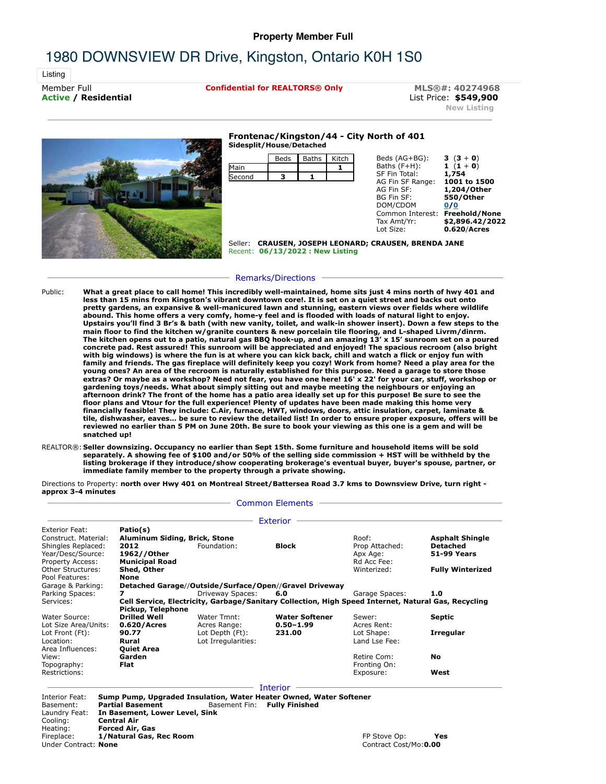## **Property Member Full**

# 1980 DOWNSVIEW DR Drive, Kingston, Ontario K0H 1S0

Listing

Member Full **Confidential for REALTORS® Only** MLS®#: 40274968<br> **Active / Residential distember 2000 Active / Residential** List Price: **\$549,900 New Listing**



### **Frontenac/Kingston/44 - City North of 401 Sidesplit/House**/**Detached**



Seller: **CRAUSEN, JOSEPH LEONARD; CRAUSEN, BRENDA JANE** Recent: **06/13/2022 : New Listing**

#### Remarks/Directions

- Public: **What a great place to call home! This incredibly well-maintained, home sits just 4 mins north of hwy 401 and less than 15 mins from Kingston's vibrant downtown core!. It is set on a quiet street and backs out onto pretty gardens, an expansive & well-manicured lawn and stunning, eastern views over fields where wildlife abound. This home offers a very comfy, home-y feel and is flooded with loads of natural light to enjoy. Upstairs you'll find 3 Br's & bath (with new vanity, toilet, and walk-in shower insert). Down a few steps to the main floor to find the kitchen w/granite counters & new porcelain tile flooring, and L-shaped Livrm/dinrm. The kitchen opens out to a patio, natural gas BBQ hook-up, and an amazing 13' x 15' sunroom set on a poured concrete pad. Rest assured! This sunroom will be appreciated and enjoyed! The spacious recroom (also bright with big windows) is where the fun is at where you can kick back, chill and watch a flick or enjoy fun with** family and friends. The gas fireplace will definitely keep you cozy! Work from home? Need a play area for the<br>young ones? An area of the recroom is naturally established for this purpose. Need a garage to store those **extras? Or maybe as a workshop? Need not fear, you have one here! 16' x 22' for your car, stuff, workshop or gardening toys/needs. What about simply sitting out and maybe meeting the neighbours or enjoying an afternoon drink? The front of the home has a patio area ideally set up for this purpose! Be sure to see the floor plans and Vtour for the full experience! Plenty of updates have been made making this home very** financially feasible! They include: C.Air, furnace, HWT, windows, doors, attic insulation, carpet, laminate &<br>tile, dishwasher, eaves... be sure to review the detailed list! In order to ensure proper exposure, offers will **reviewed no earlier than 5 PM on June 20th. Be sure to book your viewing as this one is a gem and will be snatched up!**
- REALTOR®: **Seller downsizing. Occupancy no earlier than Sept 15th. Some furniture and household items will be sold separately. A showing fee of \$100 and/or 50% of the selling side commission + HST will be withheld by the listing brokerage if they introduce/show cooperating brokerage's eventual buyer, buyer's spouse, partner, or immediate family member to the property through a private showing.**

Directions to Property: **north over Hwy 401 on Montreal Street/Battersea Road 3.7 kms to Downsview Drive, turn right approx 3-4 minutes**

#### - Common Elements -

| Exterior Feat:               | Patio(s)                      |                                                                                                     |                       |                |                         |
|------------------------------|-------------------------------|-----------------------------------------------------------------------------------------------------|-----------------------|----------------|-------------------------|
| Construct, Material:         | Aluminum Siding, Brick, Stone |                                                                                                     |                       | Roof:          | <b>Asphalt Shingle</b>  |
| Shingles Replaced:           | 2012                          | Foundation:                                                                                         | <b>Block</b>          | Prop Attached: | Detached                |
| Year/Desc/Source:            | 1962//Other                   |                                                                                                     |                       | Apx Age:       | 51-99 Years             |
| Property Access:             | <b>Municipal Road</b>         |                                                                                                     |                       | Rd Acc Fee:    |                         |
| Other Structures:            | Shed, Other                   |                                                                                                     |                       | Winterized:    | <b>Fully Winterized</b> |
| Pool Features:               | <b>None</b>                   |                                                                                                     |                       |                |                         |
| Garage & Parking:            |                               | Detached Garage//Outside/Surface/Open//Gravel Driveway                                              |                       |                |                         |
| Parking Spaces:              |                               | Driveway Spaces:                                                                                    | 6.0                   | Garage Spaces: | 1.0                     |
| Services:                    |                               | Cell Service, Electricity, Garbage/Sanitary Collection, High Speed Internet, Natural Gas, Recycling |                       |                |                         |
|                              | Pickup, Telephone             |                                                                                                     |                       |                |                         |
|                              |                               |                                                                                                     |                       |                |                         |
| Water Source:                | <b>Drilled Well</b>           | Water Tmnt:                                                                                         | <b>Water Softener</b> | Sewer:         | Septic                  |
| Lot Size Area/Units:         | 0.620/Acres                   | Acres Range:                                                                                        | $0.50 - 1.99$         | Acres Rent:    |                         |
| Lot Front (Ft):              | 90.77                         | Lot Depth (Ft):                                                                                     | 231.00                | Lot Shape:     | <b>Irregular</b>        |
| Location:                    | Rural                         | Lot Irregularities:                                                                                 |                       | Land Lse Fee:  |                         |
| Area Influences:             | <b>Ouiet Area</b>             |                                                                                                     |                       |                |                         |
| View:                        | Garden                        |                                                                                                     |                       | Retire Com:    | <b>No</b>               |
| Topography:<br>Restrictions: | Flat                          |                                                                                                     |                       | Fronting On:   |                         |

Interior Feat: **Sump Pump, Upgraded Insulation, Water Heater Owned, Water Softener** Basement: **Partial Basement** Basement Fin: **Fully Finished**<br>Laundry Feat: **In Basement, Lower Level, Sink** Laundry Feat: **In Basement, Lower Level, Sink Central Air** Heating: **Forced Air, Gas** Fireplace: **1/Natural Gas, Rec Room Figure 2012 12:30 Session Contract Cost Mess** Contract: **None** Contract: **None**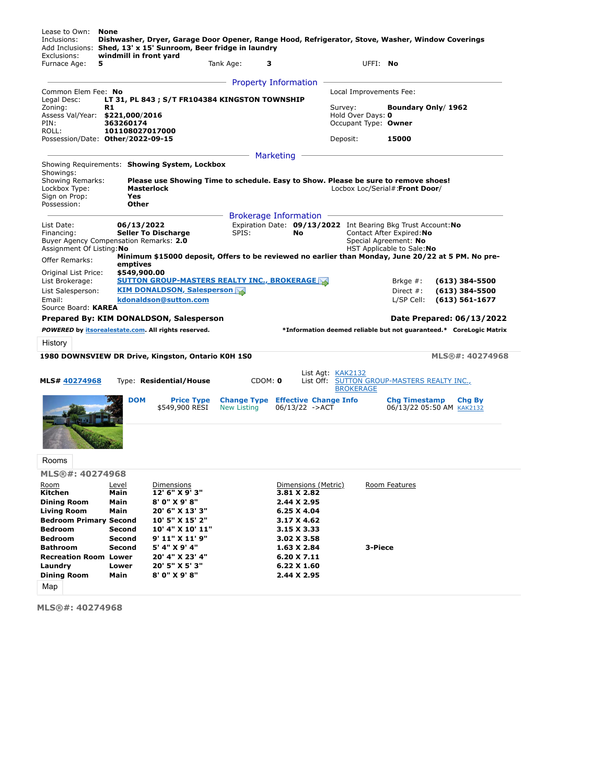| Exclusions:<br>Furnace Age:<br>5                                                                                                                             | windmill in front yard |                                                                                                    | Tank Age:                                | з              |                                                  |                              | UFFI: No |                                                                                            |                                                                    |
|--------------------------------------------------------------------------------------------------------------------------------------------------------------|------------------------|----------------------------------------------------------------------------------------------------|------------------------------------------|----------------|--------------------------------------------------|------------------------------|----------|--------------------------------------------------------------------------------------------|--------------------------------------------------------------------|
|                                                                                                                                                              |                        |                                                                                                    | <b>Property Information</b>              |                |                                                  |                              |          |                                                                                            |                                                                    |
| Common Elem Fee: No                                                                                                                                          |                        |                                                                                                    |                                          |                |                                                  | Local Improvements Fee:      |          |                                                                                            |                                                                    |
| Legal Desc:                                                                                                                                                  |                        | LT 31, PL 843 ; S/T FR104384 KINGSTON TOWNSHIP                                                     |                                          |                |                                                  |                              |          |                                                                                            |                                                                    |
| Zoning:<br>Assess Val/Year: \$221,000/2016                                                                                                                   | R1                     |                                                                                                    |                                          |                |                                                  | Survey:<br>Hold Over Days: 0 |          | Boundary Only/ 1962                                                                        |                                                                    |
| PIN:                                                                                                                                                         | 363260174              |                                                                                                    |                                          |                |                                                  | Occupant Type: Owner         |          |                                                                                            |                                                                    |
| ROLL:                                                                                                                                                        | 101108027017000        |                                                                                                    |                                          |                |                                                  |                              |          |                                                                                            |                                                                    |
| Possession/Date: Other/2022-09-15                                                                                                                            |                        |                                                                                                    |                                          |                |                                                  | Deposit:                     |          | 15000                                                                                      |                                                                    |
|                                                                                                                                                              |                        |                                                                                                    |                                          | Marketing      |                                                  |                              |          |                                                                                            |                                                                    |
|                                                                                                                                                              |                        | Showing Requirements: Showing System, Lockbox                                                      |                                          |                |                                                  |                              |          |                                                                                            |                                                                    |
| Showings:                                                                                                                                                    |                        |                                                                                                    |                                          |                |                                                  |                              |          |                                                                                            |                                                                    |
| Showing Remarks:<br>Lockbox Type:                                                                                                                            |                        | Please use Showing Time to schedule. Easy to Show. Please be sure to remove shoes!<br>Masterlock   |                                          |                |                                                  |                              |          | Locbox Loc/Serial#:Front Door/                                                             |                                                                    |
| Sign on Prop:                                                                                                                                                | <b>Yes</b>             |                                                                                                    |                                          |                |                                                  |                              |          |                                                                                            |                                                                    |
| Possession:                                                                                                                                                  | Other                  |                                                                                                    |                                          |                |                                                  |                              |          |                                                                                            |                                                                    |
|                                                                                                                                                              |                        |                                                                                                    | <b>Brokerage Information</b>             |                |                                                  |                              |          |                                                                                            |                                                                    |
| List Date:<br>Financing:                                                                                                                                     | 06/13/2022             | <b>Seller To Discharge</b>                                                                         | SPIS:                                    |                | No                                               |                              |          | Expiration Date: 09/13/2022 Int Bearing Bkg Trust Account: No<br>Contact After Expired: No |                                                                    |
| Buyer Agency Compensation Remarks: 2.0                                                                                                                       |                        |                                                                                                    |                                          |                |                                                  |                              |          | Special Agreement: No                                                                      |                                                                    |
| Assignment Of Listing: No                                                                                                                                    |                        |                                                                                                    |                                          |                |                                                  |                              |          | HST Applicable to Sale: No                                                                 |                                                                    |
| <b>Offer Remarks:</b>                                                                                                                                        | emptives               | Minimum \$15000 deposit, Offers to be reviewed no earlier than Monday, June 20/22 at 5 PM. No pre- |                                          |                |                                                  |                              |          |                                                                                            |                                                                    |
| Original List Price:                                                                                                                                         | \$549,900.00           |                                                                                                    |                                          |                |                                                  |                              |          |                                                                                            |                                                                    |
|                                                                                                                                                              |                        |                                                                                                    |                                          |                |                                                  |                              |          | Brkge $#$ :                                                                                | $(613)$ 384-5500                                                   |
|                                                                                                                                                              |                        | SUTTON GROUP-MASTERS REALTY INC., BROKERAGE $\boxdot$                                              |                                          |                |                                                  |                              |          |                                                                                            |                                                                    |
|                                                                                                                                                              |                        | <b>KIM DONALDSON, Salesperson M</b>                                                                |                                          |                |                                                  |                              |          | Direct $#$ :                                                                               | $(613)$ 384-5500                                                   |
|                                                                                                                                                              |                        | kdonaldson@sutton.com                                                                              |                                          |                |                                                  |                              |          | L/SP Cell:                                                                                 | $(613) 561 - 1677$                                                 |
| List Brokerage:<br>List Salesperson:<br>Email:<br>Source Board: KAREA                                                                                        |                        |                                                                                                    |                                          |                |                                                  |                              |          |                                                                                            |                                                                    |
|                                                                                                                                                              |                        | Prepared By: KIM DONALDSON, Salesperson                                                            |                                          |                |                                                  |                              |          |                                                                                            | Date Prepared: 06/13/2022                                          |
|                                                                                                                                                              |                        |                                                                                                    |                                          |                |                                                  |                              |          |                                                                                            | *Information deemed reliable but not guaranteed.* CoreLogic Matrix |
|                                                                                                                                                              |                        |                                                                                                    |                                          |                |                                                  |                              |          |                                                                                            |                                                                    |
|                                                                                                                                                              |                        | 1980 DOWNSVIEW DR Drive, Kingston, Ontario K0H 1S0                                                 |                                          |                |                                                  |                              |          |                                                                                            | MLS®#: 40274968                                                    |
|                                                                                                                                                              |                        |                                                                                                    |                                          |                |                                                  |                              |          |                                                                                            |                                                                    |
|                                                                                                                                                              |                        |                                                                                                    |                                          |                |                                                  | List Agt: KAK2132            |          |                                                                                            |                                                                    |
|                                                                                                                                                              |                        | Type: Residential/House                                                                            |                                          | CDOM: <b>0</b> |                                                  | <b>BROKERAGE</b>             |          | List Off: SUTTON GROUP-MASTERS REALTY INC.,                                                |                                                                    |
|                                                                                                                                                              | <b>DOM</b>             |                                                                                                    |                                          |                |                                                  |                              |          |                                                                                            |                                                                    |
|                                                                                                                                                              |                        | <b>Price Type</b><br>\$549,900 RESI                                                                | <b>Change Type</b><br><b>New Listing</b> |                | <b>Effective Change Info</b><br>$06/13/22$ ->ACT |                              |          | <b>Chg Timestamp</b><br>06/13/22 05:50 AM KAK2132                                          | Chg By                                                             |
| POWERED by itsorealestate.com. All rights reserved.<br>History<br>MLS# 40274968                                                                              |                        |                                                                                                    |                                          |                |                                                  |                              |          |                                                                                            |                                                                    |
|                                                                                                                                                              |                        |                                                                                                    |                                          |                |                                                  |                              |          |                                                                                            |                                                                    |
|                                                                                                                                                              |                        |                                                                                                    |                                          |                |                                                  |                              |          |                                                                                            |                                                                    |
|                                                                                                                                                              |                        |                                                                                                    |                                          |                |                                                  |                              |          |                                                                                            |                                                                    |
|                                                                                                                                                              |                        |                                                                                                    |                                          |                |                                                  |                              |          |                                                                                            |                                                                    |
|                                                                                                                                                              |                        |                                                                                                    |                                          |                |                                                  |                              |          |                                                                                            |                                                                    |
|                                                                                                                                                              |                        |                                                                                                    |                                          |                |                                                  |                              |          |                                                                                            |                                                                    |
|                                                                                                                                                              | Level<br>Main          | Dimensions<br>12' 6" X 9' 3"                                                                       |                                          |                | Dimensions (Metric)<br>3.81 X 2.82               |                              |          | Room Features                                                                              |                                                                    |
|                                                                                                                                                              | Main                   | 8' 0" X 9' 8"                                                                                      |                                          |                | 2.44 X 2.95                                      |                              |          |                                                                                            |                                                                    |
|                                                                                                                                                              | Main                   | 20' 6" X 13' 3"                                                                                    |                                          |                | 6.25 X 4.04                                      |                              |          |                                                                                            |                                                                    |
|                                                                                                                                                              |                        | 10' 5" X 15' 2"                                                                                    |                                          |                | 3.17 X 4.62                                      |                              |          |                                                                                            |                                                                    |
|                                                                                                                                                              | <b>Second</b>          | 10' 4" X 10' 11"                                                                                   |                                          |                | 3.15 X 3.33                                      |                              |          |                                                                                            |                                                                    |
| Rooms<br>MLS®#: 40274968<br>Room<br>Kitchen<br><b>Dining Room</b><br><b>Living Room</b><br><b>Bedroom Primary Second</b><br><b>Bedroom</b><br><b>Bedroom</b> | <b>Second</b>          | 9' 11" X 11' 9"                                                                                    |                                          |                | 3.02 X 3.58                                      |                              |          |                                                                                            |                                                                    |
|                                                                                                                                                              | <b>Second</b>          | 5' 4" X 9' 4"                                                                                      |                                          |                | 1.63 X 2.84                                      |                              | 3-Piece  |                                                                                            |                                                                    |
|                                                                                                                                                              |                        | 20' 4" X 23' 4"                                                                                    |                                          |                | 6.20 X 7.11                                      |                              |          |                                                                                            |                                                                    |
| <b>Bathroom</b><br><b>Recreation Room Lower</b><br>Laundry<br><b>Dining Room</b>                                                                             | Lower<br>Main          | 20' 5" X 5' 3"<br>8' 0" X 9' 8"                                                                    |                                          |                | 6.22 X 1.60<br>2.44 X 2.95                       |                              |          |                                                                                            |                                                                    |